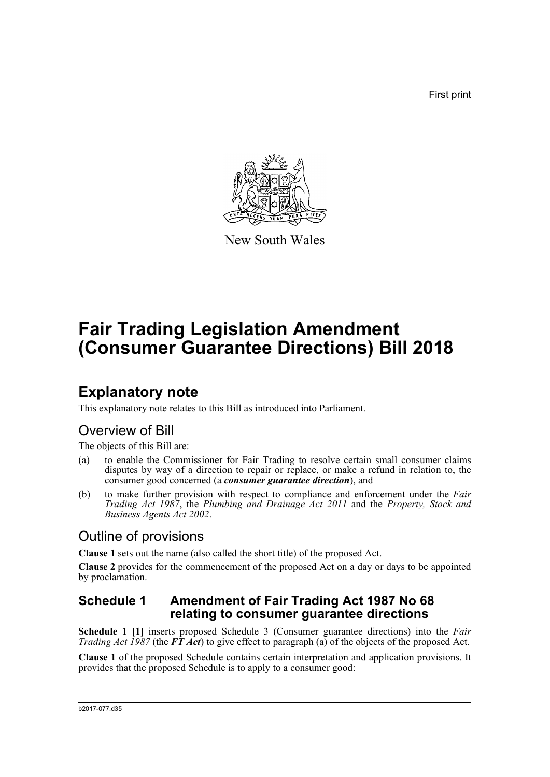First print



New South Wales

# **Fair Trading Legislation Amendment (Consumer Guarantee Directions) Bill 2018**

## **Explanatory note**

This explanatory note relates to this Bill as introduced into Parliament.

## Overview of Bill

The objects of this Bill are:

- (a) to enable the Commissioner for Fair Trading to resolve certain small consumer claims disputes by way of a direction to repair or replace, or make a refund in relation to, the consumer good concerned (a *consumer guarantee direction*), and
- (b) to make further provision with respect to compliance and enforcement under the *Fair Trading Act 1987*, the *Plumbing and Drainage Act 2011* and the *Property, Stock and Business Agents Act 2002*.

## Outline of provisions

**Clause 1** sets out the name (also called the short title) of the proposed Act.

**Clause 2** provides for the commencement of the proposed Act on a day or days to be appointed by proclamation.

### **Schedule 1 Amendment of Fair Trading Act 1987 No 68 relating to consumer guarantee directions**

**Schedule 1 [1]** inserts proposed Schedule 3 (Consumer guarantee directions) into the *Fair Trading Act 1987* (the  $\vec{FT}$  *Act*) to give effect to paragraph (a) of the objects of the proposed Act.

**Clause 1** of the proposed Schedule contains certain interpretation and application provisions. It provides that the proposed Schedule is to apply to a consumer good: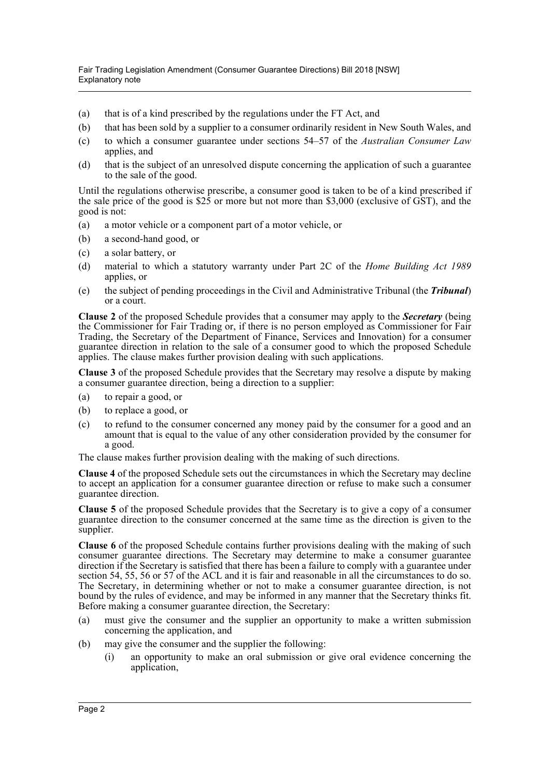- (a) that is of a kind prescribed by the regulations under the FT Act, and
- (b) that has been sold by a supplier to a consumer ordinarily resident in New South Wales, and
- (c) to which a consumer guarantee under sections 54–57 of the *Australian Consumer Law* applies, and
- (d) that is the subject of an unresolved dispute concerning the application of such a guarantee to the sale of the good.

Until the regulations otherwise prescribe, a consumer good is taken to be of a kind prescribed if the sale price of the good is  $$2\overline{5}$  or more but not more than \$3,000 (exclusive of GST), and the good is not:

- (a) a motor vehicle or a component part of a motor vehicle, or
- (b) a second-hand good, or
- (c) a solar battery, or
- (d) material to which a statutory warranty under Part 2C of the *Home Building Act 1989* applies, or
- (e) the subject of pending proceedings in the Civil and Administrative Tribunal (the *Tribunal*) or a court.

**Clause 2** of the proposed Schedule provides that a consumer may apply to the *Secretary* (being the Commissioner for Fair Trading or, if there is no person employed as Commissioner for Fair Trading, the Secretary of the Department of Finance, Services and Innovation) for a consumer guarantee direction in relation to the sale of a consumer good to which the proposed Schedule applies. The clause makes further provision dealing with such applications.

**Clause 3** of the proposed Schedule provides that the Secretary may resolve a dispute by making a consumer guarantee direction, being a direction to a supplier:

- (a) to repair a good, or
- (b) to replace a good, or
- (c) to refund to the consumer concerned any money paid by the consumer for a good and an amount that is equal to the value of any other consideration provided by the consumer for a good.

The clause makes further provision dealing with the making of such directions.

**Clause 4** of the proposed Schedule sets out the circumstances in which the Secretary may decline to accept an application for a consumer guarantee direction or refuse to make such a consumer guarantee direction.

**Clause 5** of the proposed Schedule provides that the Secretary is to give a copy of a consumer guarantee direction to the consumer concerned at the same time as the direction is given to the supplier.

**Clause 6** of the proposed Schedule contains further provisions dealing with the making of such consumer guarantee directions. The Secretary may determine to make a consumer guarantee direction if the Secretary is satisfied that there has been a failure to comply with a guarantee under section 54, 55, 56 or 57 of the ACL and it is fair and reasonable in all the circumstances to do so. The Secretary, in determining whether or not to make a consumer guarantee direction, is not bound by the rules of evidence, and may be informed in any manner that the Secretary thinks fit. Before making a consumer guarantee direction, the Secretary:

- (a) must give the consumer and the supplier an opportunity to make a written submission concerning the application, and
- (b) may give the consumer and the supplier the following:
	- (i) an opportunity to make an oral submission or give oral evidence concerning the application,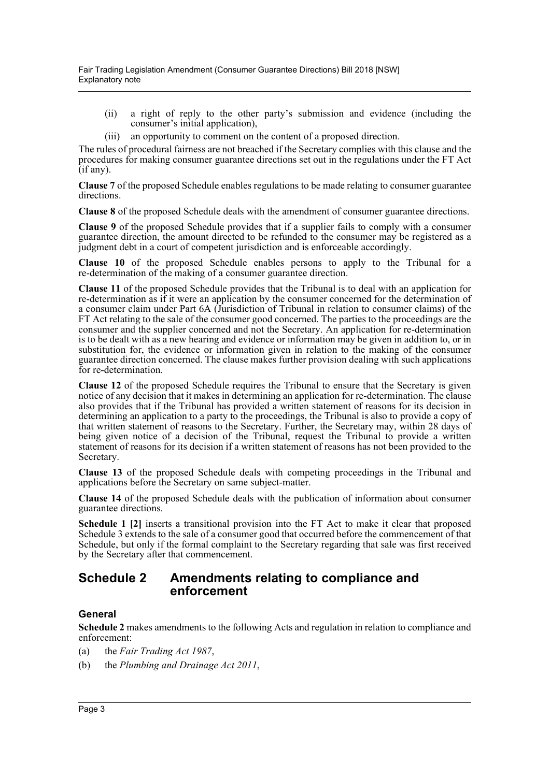- (ii) a right of reply to the other party's submission and evidence (including the consumer's initial application),
- (iii) an opportunity to comment on the content of a proposed direction.

The rules of procedural fairness are not breached if the Secretary complies with this clause and the procedures for making consumer guarantee directions set out in the regulations under the FT Act (if any).

**Clause 7** of the proposed Schedule enables regulations to be made relating to consumer guarantee directions.

**Clause 8** of the proposed Schedule deals with the amendment of consumer guarantee directions.

**Clause 9** of the proposed Schedule provides that if a supplier fails to comply with a consumer guarantee direction, the amount directed to be refunded to the consumer may be registered as a judgment debt in a court of competent jurisdiction and is enforceable accordingly.

**Clause 10** of the proposed Schedule enables persons to apply to the Tribunal for a re-determination of the making of a consumer guarantee direction.

**Clause 11** of the proposed Schedule provides that the Tribunal is to deal with an application for re-determination as if it were an application by the consumer concerned for the determination of a consumer claim under Part 6A (Jurisdiction of Tribunal in relation to consumer claims) of the FT Act relating to the sale of the consumer good concerned. The parties to the proceedings are the consumer and the supplier concerned and not the Secretary. An application for re-determination is to be dealt with as a new hearing and evidence or information may be given in addition to, or in substitution for, the evidence or information given in relation to the making of the consumer guarantee direction concerned. The clause makes further provision dealing with such applications for re-determination.

**Clause 12** of the proposed Schedule requires the Tribunal to ensure that the Secretary is given notice of any decision that it makes in determining an application for re-determination. The clause also provides that if the Tribunal has provided a written statement of reasons for its decision in determining an application to a party to the proceedings, the Tribunal is also to provide a copy of that written statement of reasons to the Secretary. Further, the Secretary may, within 28 days of being given notice of a decision of the Tribunal, request the Tribunal to provide a written statement of reasons for its decision if a written statement of reasons has not been provided to the Secretary.

**Clause 13** of the proposed Schedule deals with competing proceedings in the Tribunal and applications before the Secretary on same subject-matter.

**Clause 14** of the proposed Schedule deals with the publication of information about consumer guarantee directions.

**Schedule 1 [2]** inserts a transitional provision into the FT Act to make it clear that proposed Schedule 3 extends to the sale of a consumer good that occurred before the commencement of that Schedule, but only if the formal complaint to the Secretary regarding that sale was first received by the Secretary after that commencement.

### **Schedule 2 Amendments relating to compliance and enforcement**

### **General**

**Schedule 2** makes amendments to the following Acts and regulation in relation to compliance and enforcement:

- (a) the *Fair Trading Act 1987*,
- (b) the *Plumbing and Drainage Act 2011*,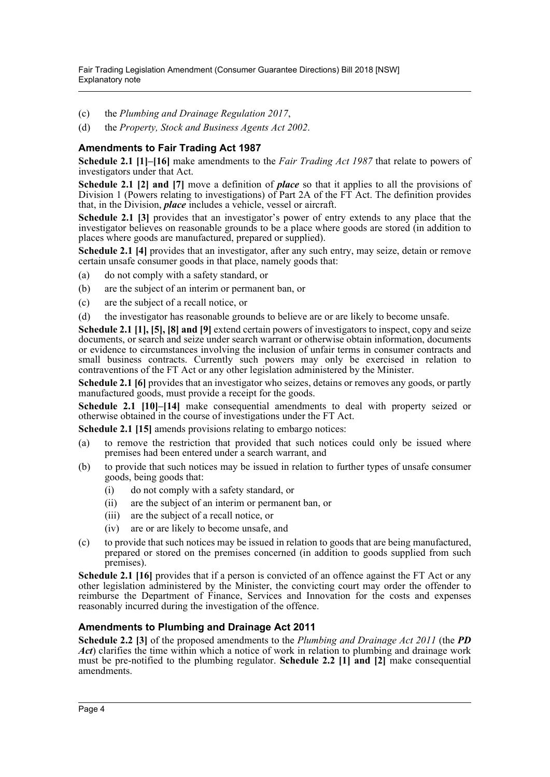- (c) the *Plumbing and Drainage Regulation 2017*,
- (d) the *Property, Stock and Business Agents Act 2002*.

### **Amendments to Fair Trading Act 1987**

**Schedule 2.1 [1]–[16]** make amendments to the *Fair Trading Act 1987* that relate to powers of investigators under that Act.

**Schedule 2.1 [2] and [7]** move a definition of *place* so that it applies to all the provisions of Division 1 (Powers relating to investigations) of Part 2A of the FT Act. The definition provides that, in the Division, *place* includes a vehicle, vessel or aircraft.

**Schedule 2.1 [3]** provides that an investigator's power of entry extends to any place that the investigator believes on reasonable grounds to be a place where goods are stored (in addition to places where goods are manufactured, prepared or supplied).

**Schedule 2.1 [4]** provides that an investigator, after any such entry, may seize, detain or remove certain unsafe consumer goods in that place, namely goods that:

- (a) do not comply with a safety standard, or
- (b) are the subject of an interim or permanent ban, or
- (c) are the subject of a recall notice, or
- (d) the investigator has reasonable grounds to believe are or are likely to become unsafe.

**Schedule 2.1 [1], [5], [8] and [9]** extend certain powers of investigators to inspect, copy and seize documents, or search and seize under search warrant or otherwise obtain information, documents or evidence to circumstances involving the inclusion of unfair terms in consumer contracts and small business contracts. Currently such powers may only be exercised in relation to contraventions of the FT Act or any other legislation administered by the Minister.

**Schedule 2.1 [6]** provides that an investigator who seizes, detains or removes any goods, or partly manufactured goods, must provide a receipt for the goods.

**Schedule 2.1 [10]–[14]** make consequential amendments to deal with property seized or otherwise obtained in the course of investigations under the FT Act.

**Schedule 2.1 [15]** amends provisions relating to embargo notices:

- (a) to remove the restriction that provided that such notices could only be issued where premises had been entered under a search warrant, and
- (b) to provide that such notices may be issued in relation to further types of unsafe consumer goods, being goods that:
	- (i) do not comply with a safety standard, or
	- (ii) are the subject of an interim or permanent ban, or
	- (iii) are the subject of a recall notice, or
	- (iv) are or are likely to become unsafe, and
- (c) to provide that such notices may be issued in relation to goods that are being manufactured, prepared or stored on the premises concerned (in addition to goods supplied from such premises).

**Schedule 2.1 [16]** provides that if a person is convicted of an offence against the FT Act or any other legislation administered by the Minister, the convicting court may order the offender to reimburse the Department of Finance, Services and Innovation for the costs and expenses reasonably incurred during the investigation of the offence.

### **Amendments to Plumbing and Drainage Act 2011**

**Schedule 2.2 [3]** of the proposed amendments to the *Plumbing and Drainage Act 2011* (the *PD Act*) clarifies the time within which a notice of work in relation to plumbing and drainage work must be pre-notified to the plumbing regulator. **Schedule 2.2 [1] and [2]** make consequential amendments.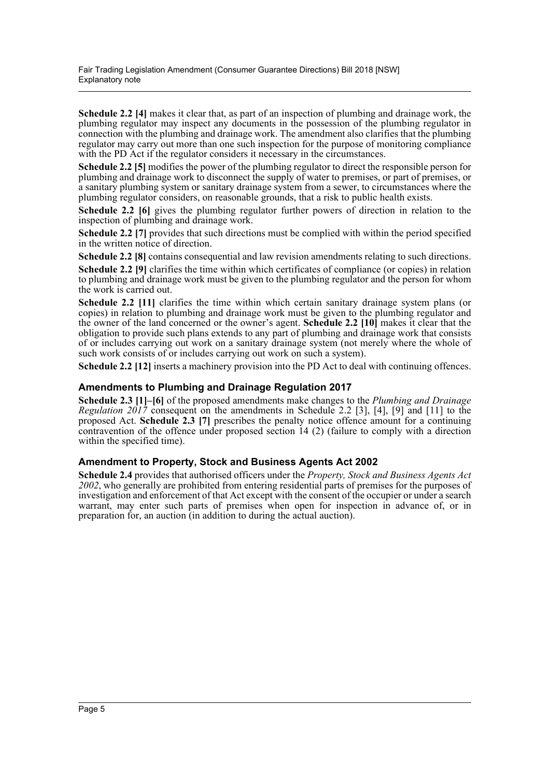**Schedule 2.2 [4]** makes it clear that, as part of an inspection of plumbing and drainage work, the plumbing regulator may inspect any documents in the possession of the plumbing regulator in connection with the plumbing and drainage work. The amendment also clarifies that the plumbing regulator may carry out more than one such inspection for the purpose of monitoring compliance with the PD Act if the regulator considers it necessary in the circumstances.

**Schedule 2.2 [5]** modifies the power of the plumbing regulator to direct the responsible person for plumbing and drainage work to disconnect the supply of water to premises, or part of premises, or a sanitary plumbing system or sanitary drainage system from a sewer, to circumstances where the plumbing regulator considers, on reasonable grounds, that a risk to public health exists.

**Schedule 2.2 [6]** gives the plumbing regulator further powers of direction in relation to the inspection of plumbing and drainage work.

**Schedule 2.2 [7]** provides that such directions must be complied with within the period specified in the written notice of direction.

**Schedule 2.2 [8]** contains consequential and law revision amendments relating to such directions. **Schedule 2.2 [9]** clarifies the time within which certificates of compliance (or copies) in relation to plumbing and drainage work must be given to the plumbing regulator and the person for whom the work is carried out.

**Schedule 2.2 [11]** clarifies the time within which certain sanitary drainage system plans (or copies) in relation to plumbing and drainage work must be given to the plumbing regulator and the owner of the land concerned or the owner's agent. **Schedule 2.2 [10]** makes it clear that the obligation to provide such plans extends to any part of plumbing and drainage work that consists of or includes carrying out work on a sanitary drainage system (not merely where the whole of such work consists of or includes carrying out work on such a system).

**Schedule 2.2 [12]** inserts a machinery provision into the PD Act to deal with continuing offences.

### **Amendments to Plumbing and Drainage Regulation 2017**

**Schedule 2.3 [1]–[6]** of the proposed amendments make changes to the *Plumbing and Drainage Regulation 2017* consequent on the amendments in Schedule 2.2 [3], [4], [9] and [11] to the proposed Act. **Schedule 2.3 [7]** prescribes the penalty notice offence amount for a continuing contravention of the offence under proposed section  $14$  (2) (failure to comply with a direction within the specified time).

#### **Amendment to Property, Stock and Business Agents Act 2002**

**Schedule 2.4** provides that authorised officers under the *Property, Stock and Business Agents Act 2002*, who generally are prohibited from entering residential parts of premises for the purposes of investigation and enforcement of that Act except with the consent of the occupier or under a search warrant, may enter such parts of premises when open for inspection in advance of, or in preparation for, an auction (in addition to during the actual auction).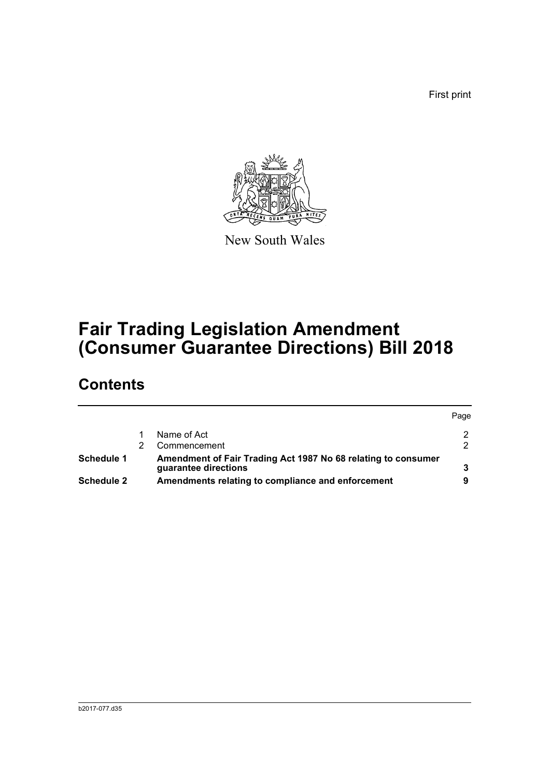First print



New South Wales

# **Fair Trading Legislation Amendment (Consumer Guarantee Directions) Bill 2018**

## **Contents**

|                   |                                                                                       | Page |
|-------------------|---------------------------------------------------------------------------------------|------|
|                   | Name of Act                                                                           |      |
|                   | Commencement                                                                          |      |
| Schedule 1        | Amendment of Fair Trading Act 1987 No 68 relating to consumer<br>guarantee directions |      |
| <b>Schedule 2</b> | Amendments relating to compliance and enforcement                                     |      |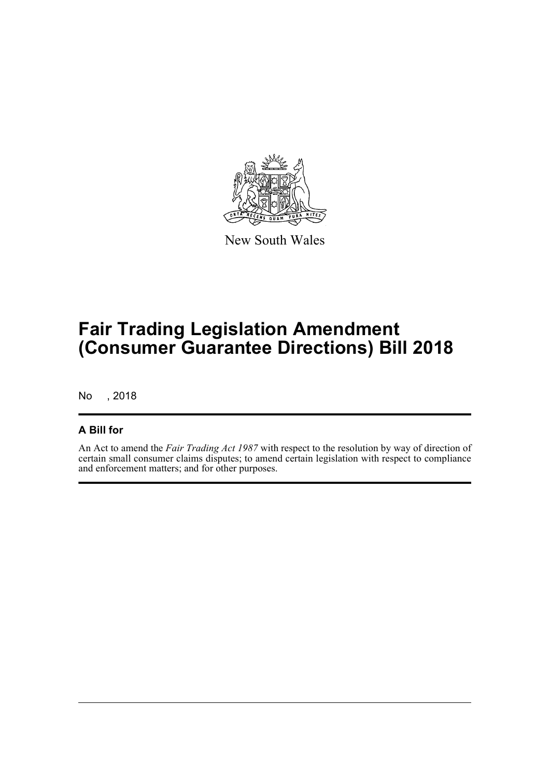

New South Wales

# **Fair Trading Legislation Amendment (Consumer Guarantee Directions) Bill 2018**

No , 2018

### **A Bill for**

An Act to amend the *Fair Trading Act 1987* with respect to the resolution by way of direction of certain small consumer claims disputes; to amend certain legislation with respect to compliance and enforcement matters; and for other purposes.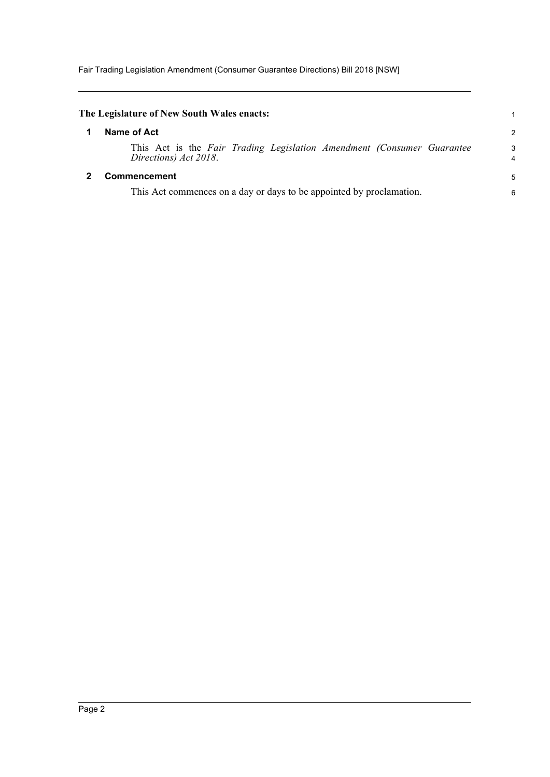<span id="page-7-1"></span><span id="page-7-0"></span>

| The Legislature of New South Wales enacts:                                                      |                |
|-------------------------------------------------------------------------------------------------|----------------|
| Name of Act                                                                                     | $\overline{2}$ |
| This Act is the Fair Trading Legislation Amendment (Consumer Guarantee<br>Directions) Act 2018. | 3<br>4         |
| <b>Commencement</b>                                                                             | 5              |
| This Act commences on a day or days to be appointed by proclamation.                            | 6              |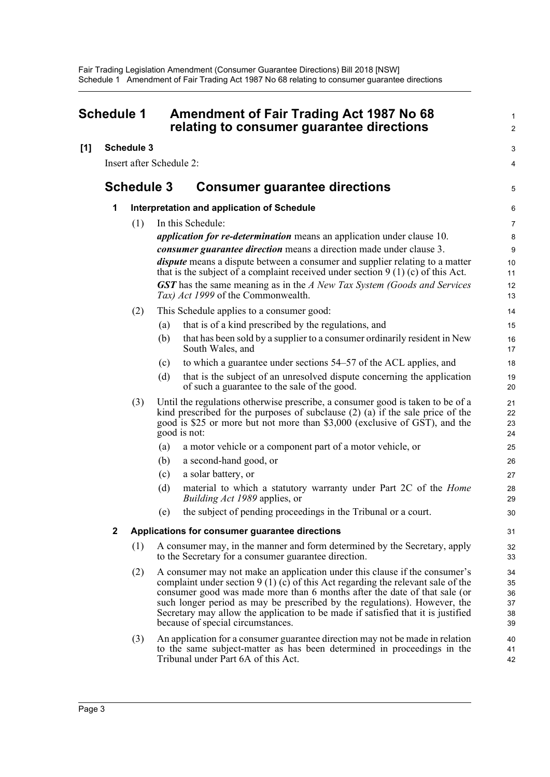<span id="page-8-0"></span>

| Schedule 1 |              |                          | Amendment of Fair Trading Act 1987 No 68<br>relating to consumer guarantee directions | 1<br>2                                                                                                                                                                                                                                                                                                                                                                                                                                            |                                            |
|------------|--------------|--------------------------|---------------------------------------------------------------------------------------|---------------------------------------------------------------------------------------------------------------------------------------------------------------------------------------------------------------------------------------------------------------------------------------------------------------------------------------------------------------------------------------------------------------------------------------------------|--------------------------------------------|
| [1]        |              | <b>Schedule 3</b>        |                                                                                       |                                                                                                                                                                                                                                                                                                                                                                                                                                                   | 3                                          |
|            |              | Insert after Schedule 2: |                                                                                       |                                                                                                                                                                                                                                                                                                                                                                                                                                                   | 4                                          |
|            |              | <b>Schedule 3</b>        |                                                                                       | <b>Consumer guarantee directions</b>                                                                                                                                                                                                                                                                                                                                                                                                              | 5                                          |
|            | 1            |                          |                                                                                       | Interpretation and application of Schedule                                                                                                                                                                                                                                                                                                                                                                                                        | 6                                          |
|            |              | (1)                      |                                                                                       | In this Schedule:<br><i>application for re-determination</i> means an application under clause 10.<br>consumer guarantee direction means a direction made under clause 3.<br><i>dispute</i> means a dispute between a consumer and supplier relating to a matter<br>that is the subject of a complaint received under section $9(1)(c)$ of this Act.<br><b>GST</b> has the same meaning as in the A New Tax System (Goods and Services            | $\overline{7}$<br>8<br>9<br>10<br>11<br>12 |
|            |              |                          |                                                                                       | Tax) Act 1999 of the Commonwealth.                                                                                                                                                                                                                                                                                                                                                                                                                | 13                                         |
|            |              | (2)                      | (a)                                                                                   | This Schedule applies to a consumer good:<br>that is of a kind prescribed by the regulations, and                                                                                                                                                                                                                                                                                                                                                 | 14<br>15                                   |
|            |              |                          | (b)                                                                                   | that has been sold by a supplier to a consumer ordinarily resident in New<br>South Wales, and                                                                                                                                                                                                                                                                                                                                                     | 16<br>17                                   |
|            |              |                          | (c)                                                                                   | to which a guarantee under sections 54–57 of the ACL applies, and                                                                                                                                                                                                                                                                                                                                                                                 | 18                                         |
|            |              |                          | (d)                                                                                   | that is the subject of an unresolved dispute concerning the application<br>of such a guarantee to the sale of the good.                                                                                                                                                                                                                                                                                                                           | 19<br>20                                   |
|            |              | (3)                      |                                                                                       | Until the regulations otherwise prescribe, a consumer good is taken to be of a<br>kind prescribed for the purposes of subclause $(2)$ $(a)$ if the sale price of the<br>good is \$25 or more but not more than \$3,000 (exclusive of GST), and the<br>good is not:                                                                                                                                                                                | 21<br>22<br>23<br>24                       |
|            |              |                          | (a)                                                                                   | a motor vehicle or a component part of a motor vehicle, or                                                                                                                                                                                                                                                                                                                                                                                        | 25                                         |
|            |              |                          | (b)                                                                                   | a second-hand good, or                                                                                                                                                                                                                                                                                                                                                                                                                            | 26                                         |
|            |              |                          | (c)                                                                                   | a solar battery, or                                                                                                                                                                                                                                                                                                                                                                                                                               | 27                                         |
|            |              |                          | (d)                                                                                   | material to which a statutory warranty under Part 2C of the Home<br><i>Building Act 1989</i> applies, or                                                                                                                                                                                                                                                                                                                                          | 28<br>29                                   |
|            |              |                          | (e)                                                                                   | the subject of pending proceedings in the Tribunal or a court.                                                                                                                                                                                                                                                                                                                                                                                    | 30                                         |
|            | $\mathbf{2}$ |                          |                                                                                       | Applications for consumer guarantee directions                                                                                                                                                                                                                                                                                                                                                                                                    | 31                                         |
|            |              | (1)                      |                                                                                       | A consumer may, in the manner and form determined by the Secretary, apply<br>to the Secretary for a consumer guarantee direction.                                                                                                                                                                                                                                                                                                                 | 32<br>33                                   |
|            |              | (2)                      |                                                                                       | A consumer may not make an application under this clause if the consumer's<br>complaint under section $9(1)(c)$ of this Act regarding the relevant sale of the<br>consumer good was made more than 6 months after the date of that sale (or<br>such longer period as may be prescribed by the regulations). However, the<br>Secretary may allow the application to be made if satisfied that it is justified<br>because of special circumstances. | 34<br>35<br>36<br>37<br>38<br>39           |
|            |              | (3)                      |                                                                                       | An application for a consumer guarantee direction may not be made in relation<br>to the same subject-matter as has been determined in proceedings in the<br>Tribunal under Part 6A of this Act.                                                                                                                                                                                                                                                   | 40<br>41<br>42                             |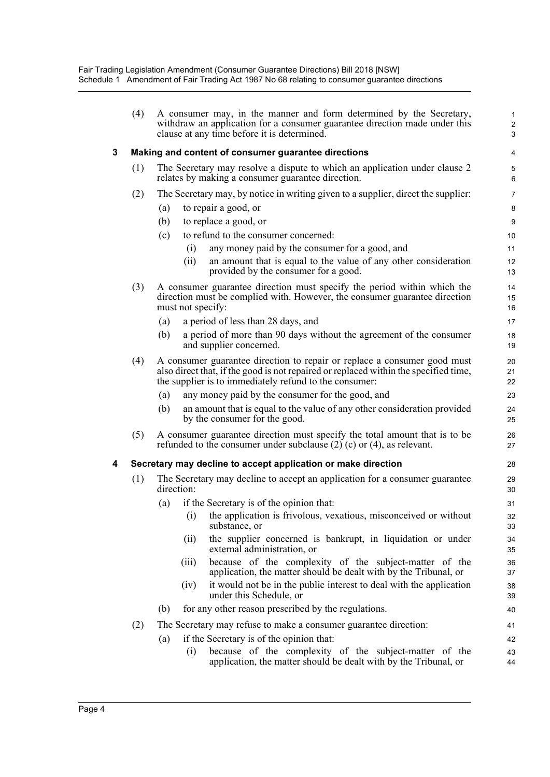|   | (4) | A consumer may, in the manner and form determined by the Secretary,<br>withdraw an application for a consumer guarantee direction made under this<br>clause at any time before it is determined.                           | $\mathbf{1}$<br>$\overline{2}$<br>3 |
|---|-----|----------------------------------------------------------------------------------------------------------------------------------------------------------------------------------------------------------------------------|-------------------------------------|
| 3 |     | Making and content of consumer guarantee directions                                                                                                                                                                        | 4                                   |
|   | (1) | The Secretary may resolve a dispute to which an application under clause 2<br>relates by making a consumer guarantee direction.                                                                                            | 5<br>6                              |
|   | (2) | The Secretary may, by notice in writing given to a supplier, direct the supplier.                                                                                                                                          | $\overline{7}$                      |
|   |     | to repair a good, or<br>(a)                                                                                                                                                                                                | 8                                   |
|   |     | (b)<br>to replace a good, or                                                                                                                                                                                               | 9                                   |
|   |     | to refund to the consumer concerned:<br>(c)                                                                                                                                                                                | 10                                  |
|   |     | (i)<br>any money paid by the consumer for a good, and                                                                                                                                                                      | 11                                  |
|   |     | (ii)<br>an amount that is equal to the value of any other consideration<br>provided by the consumer for a good.                                                                                                            | $12 \overline{ }$<br>13             |
|   | (3) | A consumer guarantee direction must specify the period within which the<br>direction must be complied with. However, the consumer guarantee direction<br>must not specify:                                                 | 14<br>15<br>16                      |
|   |     | a period of less than 28 days, and<br>(a)                                                                                                                                                                                  | 17                                  |
|   |     | a period of more than 90 days without the agreement of the consumer<br>(b)<br>and supplier concerned.                                                                                                                      | 18<br>19                            |
|   | (4) | A consumer guarantee direction to repair or replace a consumer good must<br>also direct that, if the good is not repaired or replaced within the specified time,<br>the supplier is to immediately refund to the consumer: | 20<br>21<br>22                      |
|   |     | any money paid by the consumer for the good, and<br>(a)                                                                                                                                                                    | 23                                  |
|   |     | (b)<br>an amount that is equal to the value of any other consideration provided<br>by the consumer for the good.                                                                                                           | 24<br>25                            |
|   | (5) | A consumer guarantee direction must specify the total amount that is to be<br>refunded to the consumer under subclause $(2)$ (c) or $(4)$ , as relevant.                                                                   | 26<br>27                            |
| 4 |     | Secretary may decline to accept application or make direction                                                                                                                                                              | 28                                  |
|   | (1) | The Secretary may decline to accept an application for a consumer guarantee<br>direction:                                                                                                                                  | 29<br>30                            |
|   |     | if the Secretary is of the opinion that:<br>(a)                                                                                                                                                                            | 31                                  |
|   |     | the application is frivolous, vexatious, misconceived or without<br>(i)<br>substance, or                                                                                                                                   | 32<br>33                            |
|   |     | the supplier concerned is bankrupt, in liquidation or under<br>(11)<br>external administration, or                                                                                                                         | 34<br>35                            |
|   |     | because of the complexity of the subject-matter of the<br>(111)<br>application, the matter should be dealt with by the Tribunal, or                                                                                        | 36<br>37                            |
|   |     | it would not be in the public interest to deal with the application<br>(iv)<br>under this Schedule, or                                                                                                                     | 38<br>39                            |
|   |     | for any other reason prescribed by the regulations.<br>(b)                                                                                                                                                                 | 40                                  |
|   | (2) | The Secretary may refuse to make a consumer guarantee direction:                                                                                                                                                           | 41                                  |
|   |     | if the Secretary is of the opinion that:<br>(a)                                                                                                                                                                            | 42                                  |
|   |     | because of the complexity of the subject-matter of the<br>(i)<br>application, the matter should be dealt with by the Tribunal, or                                                                                          | 43<br>44                            |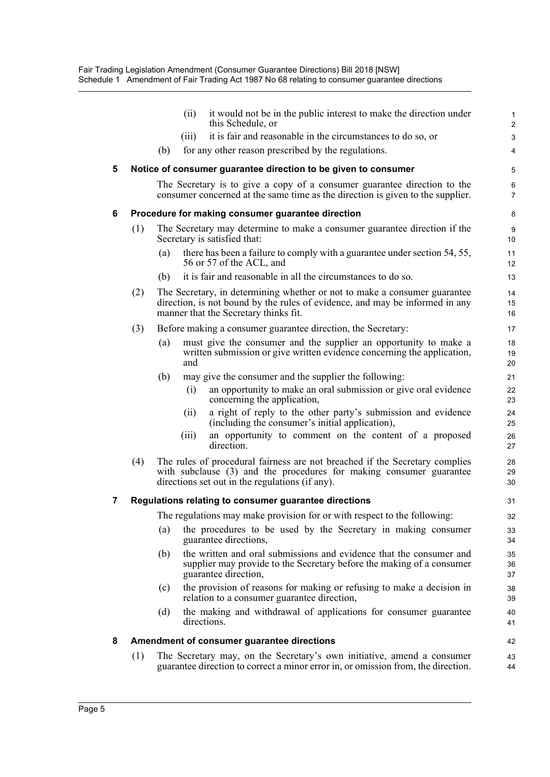|   |     | it would not be in the public interest to make the direction under<br>(ii)<br>this Schedule, or                                                                                                       | $\mathbf{1}$<br>$\overline{c}$ |
|---|-----|-------------------------------------------------------------------------------------------------------------------------------------------------------------------------------------------------------|--------------------------------|
|   |     | it is fair and reasonable in the circumstances to do so, or<br>(111)                                                                                                                                  | 3                              |
|   |     | (b)<br>for any other reason prescribed by the regulations.                                                                                                                                            | 4                              |
| 5 |     | Notice of consumer guarantee direction to be given to consumer                                                                                                                                        | 5                              |
|   |     | The Secretary is to give a copy of a consumer guarantee direction to the<br>consumer concerned at the same time as the direction is given to the supplier.                                            | 6<br>$\overline{7}$            |
| 6 |     | Procedure for making consumer guarantee direction                                                                                                                                                     | 8                              |
|   | (1) | The Secretary may determine to make a consumer guarantee direction if the<br>Secretary is satisfied that:                                                                                             | 9<br>10                        |
|   |     | there has been a failure to comply with a guarantee under section 54, 55,<br>(a)<br>56 or 57 of the ACL, and                                                                                          | 11<br>12                       |
|   |     | it is fair and reasonable in all the circumstances to do so.<br>(b)                                                                                                                                   | 13                             |
|   | (2) | The Secretary, in determining whether or not to make a consumer guarantee<br>direction, is not bound by the rules of evidence, and may be informed in any<br>manner that the Secretary thinks fit.    | 14<br>15<br>16                 |
|   | (3) | Before making a consumer guarantee direction, the Secretary:                                                                                                                                          | 17                             |
|   |     | must give the consumer and the supplier an opportunity to make a<br>(a)<br>written submission or give written evidence concerning the application,<br>and                                             | 18<br>19<br>20                 |
|   |     | (b)<br>may give the consumer and the supplier the following:                                                                                                                                          | 21                             |
|   |     | an opportunity to make an oral submission or give oral evidence<br>(i)<br>concerning the application,                                                                                                 | 22<br>23                       |
|   |     | a right of reply to the other party's submission and evidence<br>(ii)<br>(including the consumer's initial application),                                                                              | 24<br>25                       |
|   |     | an opportunity to comment on the content of a proposed<br>(iii)<br>direction.                                                                                                                         | 26<br>27                       |
|   | (4) | The rules of procedural fairness are not breached if the Secretary complies<br>with subclause (3) and the procedures for making consumer guarantee<br>directions set out in the regulations (if any). | 28<br>29<br>30                 |
| 7 |     | Regulations relating to consumer guarantee directions                                                                                                                                                 | 31                             |
|   |     | The regulations may make provision for or with respect to the following:                                                                                                                              | 32                             |
|   |     | the procedures to be used by the Secretary in making consumer<br>(a)<br>guarantee directions,                                                                                                         | 33<br>34                       |
|   |     | the written and oral submissions and evidence that the consumer and<br>(b)<br>supplier may provide to the Secretary before the making of a consumer<br>guarantee direction,                           | 35<br>36<br>37                 |
|   |     | the provision of reasons for making or refusing to make a decision in<br>(c)<br>relation to a consumer guarantee direction,                                                                           | 38<br>39                       |
|   |     | the making and withdrawal of applications for consumer guarantee<br>(d)<br>directions.                                                                                                                | 40<br>41                       |
| 8 |     | Amendment of consumer guarantee directions                                                                                                                                                            | 42                             |
|   | (1) | The Secretary may, on the Secretary's own initiative, amend a consumer<br>guarantee direction to correct a minor error in, or omission from, the direction.                                           | 43<br>44                       |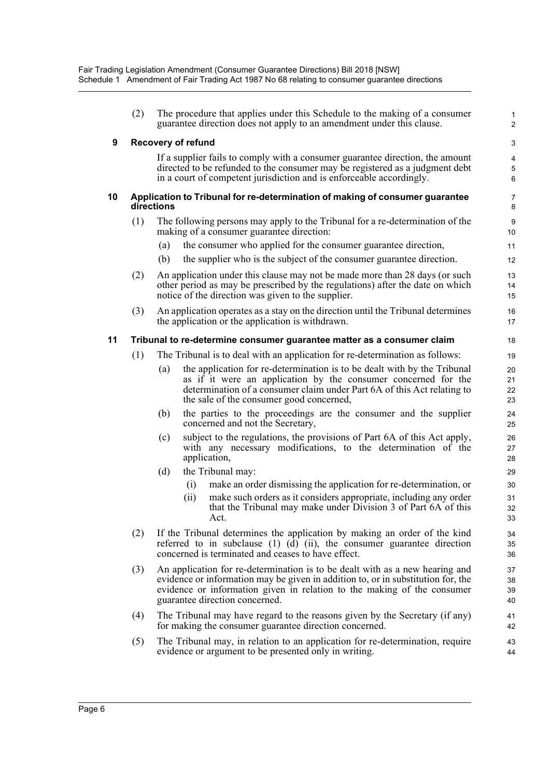|    | (2) | The procedure that applies under this Schedule to the making of a consumer<br>guarantee direction does not apply to an amendment under this clause.                                                                                                                           | 1<br>$\overline{2}$               |
|----|-----|-------------------------------------------------------------------------------------------------------------------------------------------------------------------------------------------------------------------------------------------------------------------------------|-----------------------------------|
| 9  |     | <b>Recovery of refund</b>                                                                                                                                                                                                                                                     | 3                                 |
|    |     | If a supplier fails to comply with a consumer guarantee direction, the amount<br>directed to be refunded to the consumer may be registered as a judgment debt<br>in a court of competent jurisdiction and is enforceable accordingly.                                         | $\overline{\mathbf{4}}$<br>5<br>6 |
| 10 |     | Application to Tribunal for re-determination of making of consumer guarantee<br>directions                                                                                                                                                                                    | 7<br>8                            |
|    | (1) | The following persons may apply to the Tribunal for a re-determination of the<br>making of a consumer guarantee direction:                                                                                                                                                    | 9<br>10                           |
|    |     | the consumer who applied for the consumer guarantee direction,<br>(a)                                                                                                                                                                                                         | 11                                |
|    |     | (b)<br>the supplier who is the subject of the consumer guarantee direction.                                                                                                                                                                                                   | 12                                |
|    | (2) | An application under this clause may not be made more than 28 days (or such<br>other period as may be prescribed by the regulations) after the date on which<br>notice of the direction was given to the supplier.                                                            | 13<br>14<br>15                    |
|    | (3) | An application operates as a stay on the direction until the Tribunal determines<br>the application or the application is withdrawn.                                                                                                                                          | 16<br>17                          |
| 11 |     | Tribunal to re-determine consumer guarantee matter as a consumer claim                                                                                                                                                                                                        | 18                                |
|    | (1) | The Tribunal is to deal with an application for re-determination as follows:                                                                                                                                                                                                  | 19                                |
|    |     | the application for re-determination is to be dealt with by the Tribunal<br>(a)<br>as if it were an application by the consumer concerned for the<br>determination of a consumer claim under Part 6A of this Act relating to<br>the sale of the consumer good concerned,      | 20<br>21<br>22<br>23              |
|    |     | the parties to the proceedings are the consumer and the supplier<br>(b)<br>concerned and not the Secretary,                                                                                                                                                                   | 24<br>25                          |
|    |     | subject to the regulations, the provisions of Part 6A of this Act apply,<br>(c)<br>with any necessary modifications, to the determination of the<br>application,                                                                                                              | 26<br>27<br>28                    |
|    |     | the Tribunal may:<br>(d)                                                                                                                                                                                                                                                      | 29                                |
|    |     | make an order dismissing the application for re-determination, or<br>(i)                                                                                                                                                                                                      | 30                                |
|    |     | (ii)<br>make such orders as it considers appropriate, including any order<br>that the Tribunal may make under Division 3 of Part 6A of this<br>Act.                                                                                                                           | 31<br>32<br>33                    |
|    | (2) | If the Tribunal determines the application by making an order of the kind<br>referred to in subclause $(1)$ $(d)$ $(ii)$ , the consumer guarantee direction<br>concerned is terminated and ceases to have effect.                                                             | 34<br>35<br>36                    |
|    | (3) | An application for re-determination is to be dealt with as a new hearing and<br>evidence or information may be given in addition to, or in substitution for, the<br>evidence or information given in relation to the making of the consumer<br>guarantee direction concerned. | 37<br>38<br>39<br>40              |
|    | (4) | The Tribunal may have regard to the reasons given by the Secretary (if any)<br>for making the consumer guarantee direction concerned.                                                                                                                                         | 41<br>42                          |
|    | (5) | The Tribunal may, in relation to an application for re-determination, require<br>evidence or argument to be presented only in writing.                                                                                                                                        | 43<br>44                          |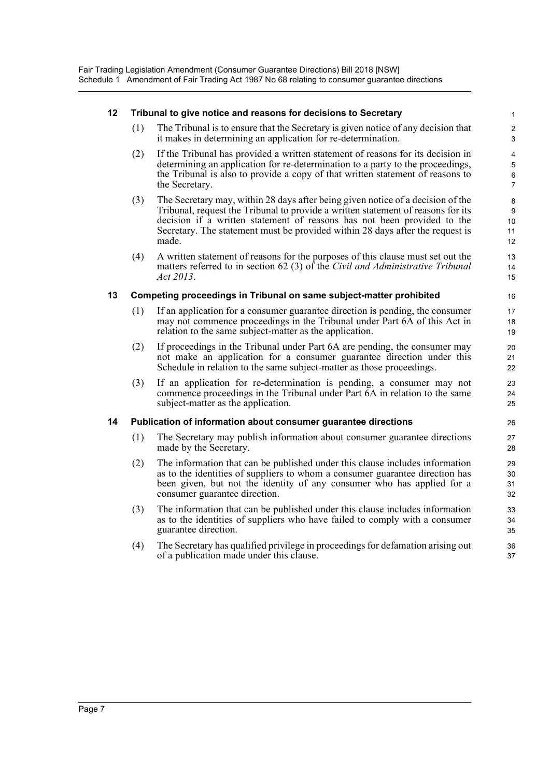#### **12 Tribunal to give notice and reasons for decisions to Secretary**

(1) The Tribunal is to ensure that the Secretary is given notice of any decision that it makes in determining an application for re-determination.

- (2) If the Tribunal has provided a written statement of reasons for its decision in determining an application for re-determination to a party to the proceedings, the Tribunal is also to provide a copy of that written statement of reasons to the Secretary.
- (3) The Secretary may, within 28 days after being given notice of a decision of the Tribunal, request the Tribunal to provide a written statement of reasons for its decision if a written statement of reasons has not been provided to the Secretary. The statement must be provided within 28 days after the request is made.
- (4) A written statement of reasons for the purposes of this clause must set out the matters referred to in section 62 (3) of the *Civil and Administrative Tribunal Act 2013*.

#### **13 Competing proceedings in Tribunal on same subject-matter prohibited**

- (1) If an application for a consumer guarantee direction is pending, the consumer may not commence proceedings in the Tribunal under Part 6A of this Act in relation to the same subject-matter as the application.
- (2) If proceedings in the Tribunal under Part 6A are pending, the consumer may not make an application for a consumer guarantee direction under this Schedule in relation to the same subject-matter as those proceedings.
- (3) If an application for re-determination is pending, a consumer may not commence proceedings in the Tribunal under Part 6A in relation to the same subject-matter as the application.

#### **14 Publication of information about consumer guarantee directions**

- (1) The Secretary may publish information about consumer guarantee directions made by the Secretary.
- (2) The information that can be published under this clause includes information as to the identities of suppliers to whom a consumer guarantee direction has been given, but not the identity of any consumer who has applied for a consumer guarantee direction.
- (3) The information that can be published under this clause includes information as to the identities of suppliers who have failed to comply with a consumer guarantee direction.
- (4) The Secretary has qualified privilege in proceedings for defamation arising out of a publication made under this clause.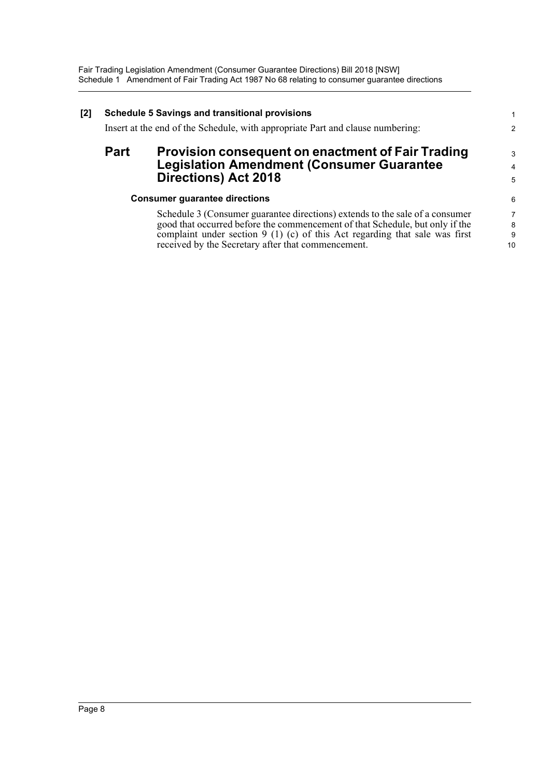| [2] | <b>Schedule 5 Savings and transitional provisions</b><br>Insert at the end of the Schedule, with appropriate Part and clause numbering: |                                                                                                                                                                                                                                                                                                   |                                |  |  |
|-----|-----------------------------------------------------------------------------------------------------------------------------------------|---------------------------------------------------------------------------------------------------------------------------------------------------------------------------------------------------------------------------------------------------------------------------------------------------|--------------------------------|--|--|
|     | <b>Part</b>                                                                                                                             | <b>Provision consequent on enactment of Fair Trading</b><br><b>Legislation Amendment (Consumer Guarantee</b><br><b>Directions) Act 2018</b>                                                                                                                                                       | 3<br>4<br>5                    |  |  |
|     |                                                                                                                                         | <b>Consumer guarantee directions</b>                                                                                                                                                                                                                                                              | 6                              |  |  |
|     |                                                                                                                                         | Schedule 3 (Consumer guarantee directions) extends to the sale of a consumer<br>good that occurred before the commencement of that Schedule, but only if the<br>complaint under section $9(1)(c)$ of this Act regarding that sale was first<br>received by the Secretary after that commencement. | $\overline{7}$<br>8<br>9<br>10 |  |  |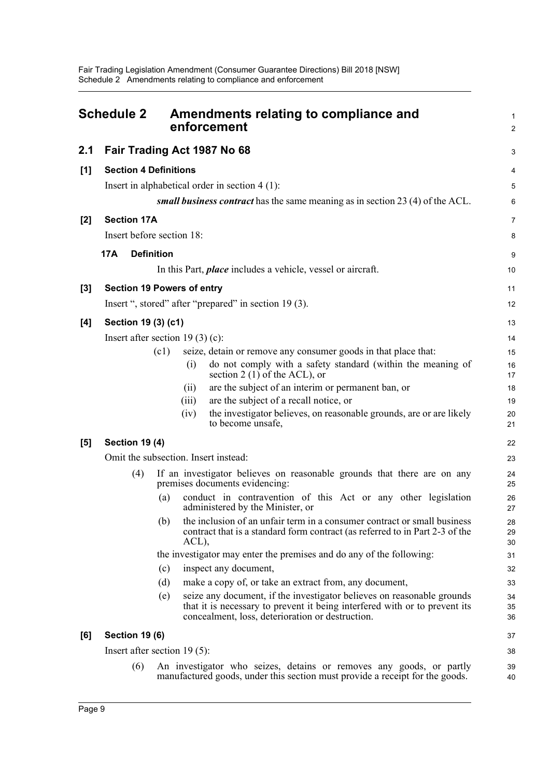<span id="page-14-0"></span>

|       | <b>Schedule 2</b>                     |      | Amendments relating to compliance and<br>enforcement                                                                                                                                                     | 1<br>$\overline{2}$ |
|-------|---------------------------------------|------|----------------------------------------------------------------------------------------------------------------------------------------------------------------------------------------------------------|---------------------|
| 2.1   |                                       |      | Fair Trading Act 1987 No 68                                                                                                                                                                              | 3                   |
| [1]   | <b>Section 4 Definitions</b>          |      |                                                                                                                                                                                                          | 4                   |
|       |                                       |      | Insert in alphabetical order in section $4(1)$ :                                                                                                                                                         | 5                   |
|       |                                       |      | small business contract has the same meaning as in section 23 (4) of the ACL.                                                                                                                            | 6                   |
| $[2]$ | <b>Section 17A</b>                    |      |                                                                                                                                                                                                          | $\overline{7}$      |
|       | Insert before section 18:             |      |                                                                                                                                                                                                          | 8                   |
|       | <b>Definition</b><br>17A              |      |                                                                                                                                                                                                          | 9                   |
|       |                                       |      | In this Part, <i>place</i> includes a vehicle, vessel or aircraft.                                                                                                                                       | 10                  |
| $[3]$ | <b>Section 19 Powers of entry</b>     |      |                                                                                                                                                                                                          | 11                  |
|       |                                       |      | Insert ", stored" after "prepared" in section 19 (3).                                                                                                                                                    | 12                  |
| [4]   | Section 19 (3) (c1)                   |      |                                                                                                                                                                                                          | 13                  |
|       | Insert after section 19 $(3)$ $(c)$ : |      |                                                                                                                                                                                                          | 14                  |
|       |                                       | (c1) | seize, detain or remove any consumer goods in that place that:                                                                                                                                           | 15                  |
|       |                                       |      | do not comply with a safety standard (within the meaning of<br>(i)                                                                                                                                       | 16                  |
|       |                                       |      | section 2 (1) of the ACL), or                                                                                                                                                                            | 17                  |
|       |                                       |      | are the subject of an interim or permanent ban, or<br>(i)                                                                                                                                                | 18                  |
|       |                                       |      | are the subject of a recall notice, or<br>(iii)                                                                                                                                                          | 19                  |
|       |                                       |      | the investigator believes, on reasonable grounds, are or are likely<br>(iv)<br>to become unsafe,                                                                                                         | 20<br>21            |
| [5]   | <b>Section 19 (4)</b>                 |      |                                                                                                                                                                                                          | 22                  |
|       |                                       |      | Omit the subsection. Insert instead:                                                                                                                                                                     | 23                  |
|       | (4)                                   |      | If an investigator believes on reasonable grounds that there are on any<br>premises documents evidencing:                                                                                                | 24<br>25            |
|       |                                       | (a)  | conduct in contravention of this Act or any other legislation<br>administered by the Minister, or                                                                                                        | 26<br>27            |
|       |                                       | (b)  | the inclusion of an unfair term in a consumer contract or small business<br>contract that is a standard form contract (as referred to in Part 2-3 of the<br>ACL),                                        | 28<br>29<br>30      |
|       |                                       |      | the investigator may enter the premises and do any of the following:                                                                                                                                     | 31                  |
|       |                                       | (c)  | inspect any document,                                                                                                                                                                                    | 32                  |
|       |                                       | (d)  | make a copy of, or take an extract from, any document,                                                                                                                                                   | 33                  |
|       |                                       | (e)  | seize any document, if the investigator believes on reasonable grounds<br>that it is necessary to prevent it being interfered with or to prevent its<br>concealment, loss, deterioration or destruction. | 34<br>35<br>36      |
| [6]   | <b>Section 19 (6)</b>                 |      |                                                                                                                                                                                                          | 37                  |
|       | Insert after section $19(5)$ :        |      |                                                                                                                                                                                                          | 38                  |
|       | (6)                                   |      | An investigator who seizes, detains or removes any goods, or partly<br>manufactured goods, under this section must provide a receipt for the goods.                                                      | 39<br>40            |
|       |                                       |      |                                                                                                                                                                                                          |                     |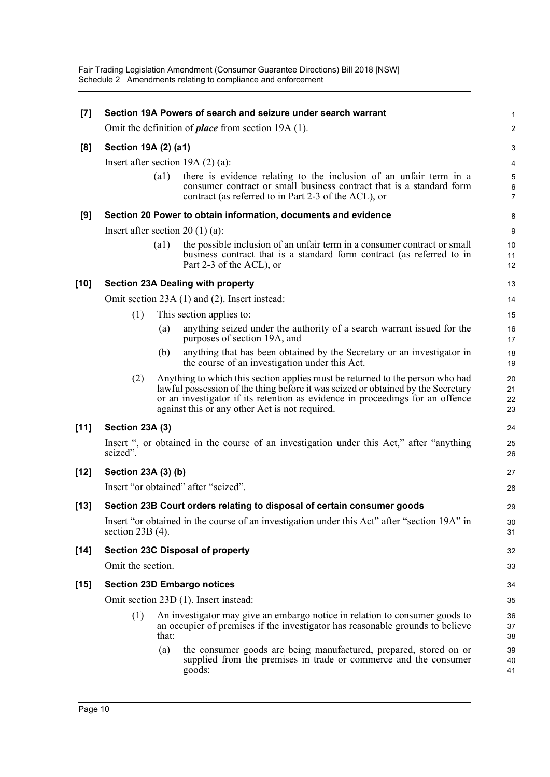Fair Trading Legislation Amendment (Consumer Guarantee Directions) Bill 2018 [NSW] Schedule 2 Amendments relating to compliance and enforcement

| $[7]$  |                      |       | Section 19A Powers of search and seizure under search warrant                                                                                                                                                                                                                                        | 1                                 |  |  |  |
|--------|----------------------|-------|------------------------------------------------------------------------------------------------------------------------------------------------------------------------------------------------------------------------------------------------------------------------------------------------------|-----------------------------------|--|--|--|
|        |                      |       | Omit the definition of <i>place</i> from section 19A (1).                                                                                                                                                                                                                                            | $\boldsymbol{2}$                  |  |  |  |
| [8]    | Section 19A (2) (a1) |       |                                                                                                                                                                                                                                                                                                      |                                   |  |  |  |
|        |                      |       | Insert after section $19A(2)(a)$ :                                                                                                                                                                                                                                                                   | 4                                 |  |  |  |
|        |                      | (a1)  | there is evidence relating to the inclusion of an unfair term in a<br>consumer contract or small business contract that is a standard form<br>contract (as referred to in Part 2-3 of the ACL), or                                                                                                   | $\sqrt{5}$<br>6<br>$\overline{7}$ |  |  |  |
| [9]    |                      |       | Section 20 Power to obtain information, documents and evidence                                                                                                                                                                                                                                       | 8                                 |  |  |  |
|        |                      |       | Insert after section 20 $(1)$ $(a)$ :                                                                                                                                                                                                                                                                | $\boldsymbol{9}$                  |  |  |  |
|        |                      | (a1)  | the possible inclusion of an unfair term in a consumer contract or small<br>business contract that is a standard form contract (as referred to in<br>Part 2-3 of the ACL), or                                                                                                                        | 10<br>11<br>12                    |  |  |  |
| $[10]$ |                      |       | <b>Section 23A Dealing with property</b>                                                                                                                                                                                                                                                             | 13                                |  |  |  |
|        |                      |       | Omit section 23A (1) and (2). Insert instead:                                                                                                                                                                                                                                                        | 14                                |  |  |  |
|        | (1)                  |       | This section applies to:                                                                                                                                                                                                                                                                             | 15                                |  |  |  |
|        |                      | (a)   | anything seized under the authority of a search warrant issued for the<br>purposes of section 19A, and                                                                                                                                                                                               | 16<br>17                          |  |  |  |
|        |                      | (b)   | anything that has been obtained by the Secretary or an investigator in<br>the course of an investigation under this Act.                                                                                                                                                                             | 18<br>19                          |  |  |  |
|        | (2)                  |       | Anything to which this section applies must be returned to the person who had<br>lawful possession of the thing before it was seized or obtained by the Secretary<br>or an investigator if its retention as evidence in proceedings for an offence<br>against this or any other Act is not required. | 20<br>21<br>22<br>23              |  |  |  |
| $[11]$ | Section 23A (3)      |       |                                                                                                                                                                                                                                                                                                      | 24                                |  |  |  |
|        | seized".             |       | Insert ", or obtained in the course of an investigation under this Act," after "anything                                                                                                                                                                                                             | 25<br>26                          |  |  |  |
| $[12]$ | Section 23A (3) (b)  |       |                                                                                                                                                                                                                                                                                                      | 27                                |  |  |  |
|        |                      |       | Insert "or obtained" after "seized".                                                                                                                                                                                                                                                                 | 28                                |  |  |  |
| $[13]$ |                      |       | Section 23B Court orders relating to disposal of certain consumer goods                                                                                                                                                                                                                              | 29                                |  |  |  |
|        | section $23B(4)$ .   |       | Insert "or obtained in the course of an investigation under this Act" after "section 19A" in                                                                                                                                                                                                         | 30<br>31                          |  |  |  |
| $[14]$ |                      |       | <b>Section 23C Disposal of property</b>                                                                                                                                                                                                                                                              | 32                                |  |  |  |
|        | Omit the section.    |       |                                                                                                                                                                                                                                                                                                      | 33                                |  |  |  |
| $[15]$ |                      |       | <b>Section 23D Embargo notices</b>                                                                                                                                                                                                                                                                   | 34                                |  |  |  |
|        |                      |       | Omit section 23D (1). Insert instead:                                                                                                                                                                                                                                                                | 35                                |  |  |  |
|        | (1)                  | that: | An investigator may give an embargo notice in relation to consumer goods to<br>an occupier of premises if the investigator has reasonable grounds to believe                                                                                                                                         | 36<br>37<br>38                    |  |  |  |
|        |                      | (a)   | the consumer goods are being manufactured, prepared, stored on or<br>supplied from the premises in trade or commerce and the consumer<br>goods:                                                                                                                                                      | 39<br>40<br>41                    |  |  |  |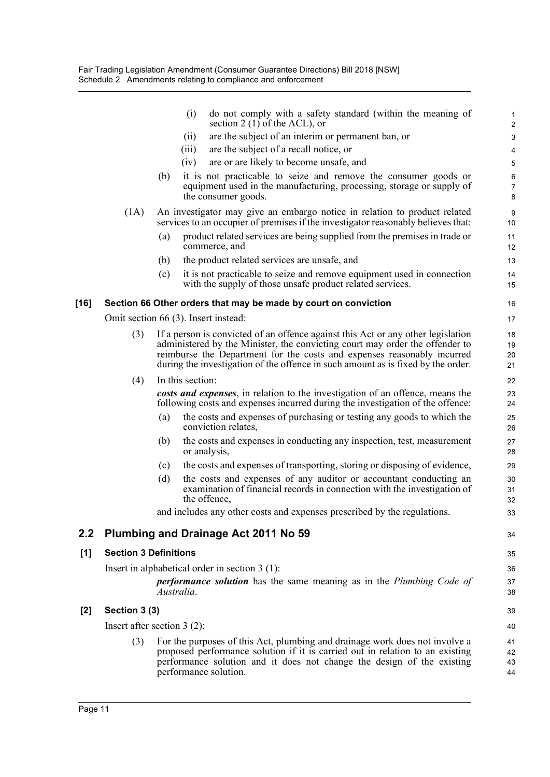|       |                               |     | (i)<br>do not comply with a safety standard (within the meaning of<br>section 2 (1) of the ACL), or                                                                                                                                                             | $\mathbf{1}$<br>$\sqrt{2}$ |
|-------|-------------------------------|-----|-----------------------------------------------------------------------------------------------------------------------------------------------------------------------------------------------------------------------------------------------------------------|----------------------------|
|       |                               |     | are the subject of an interim or permanent ban, or<br>(ii)                                                                                                                                                                                                      | $\ensuremath{\mathsf{3}}$  |
|       |                               |     | are the subject of a recall notice, or<br>(iii)                                                                                                                                                                                                                 | 4                          |
|       |                               |     | (iv)<br>are or are likely to become unsafe, and                                                                                                                                                                                                                 | $\sqrt{5}$                 |
|       |                               | (b) | it is not practicable to seize and remove the consumer goods or<br>equipment used in the manufacturing, processing, storage or supply of                                                                                                                        | 6<br>$\overline{7}$        |
|       |                               |     | the consumer goods.                                                                                                                                                                                                                                             | 8                          |
|       | (1A)                          |     | An investigator may give an embargo notice in relation to product related<br>services to an occupier of premises if the investigator reasonably believes that:                                                                                                  | $\boldsymbol{9}$<br>10     |
|       |                               | (a) | product related services are being supplied from the premises in trade or<br>commerce, and                                                                                                                                                                      | 11<br>12                   |
|       |                               | (b) | the product related services are unsafe, and                                                                                                                                                                                                                    | 13                         |
|       |                               | (c) | it is not practicable to seize and remove equipment used in connection<br>with the supply of those unsafe product related services.                                                                                                                             | 14<br>15                   |
| [16]  |                               |     | Section 66 Other orders that may be made by court on conviction                                                                                                                                                                                                 | 16                         |
|       |                               |     | Omit section 66 (3). Insert instead:                                                                                                                                                                                                                            | 17                         |
|       | (3)                           |     | If a person is convicted of an offence against this Act or any other legislation                                                                                                                                                                                | 18                         |
|       |                               |     | administered by the Minister, the convicting court may order the offender to                                                                                                                                                                                    | 19                         |
|       |                               |     | reimburse the Department for the costs and expenses reasonably incurred<br>during the investigation of the offence in such amount as is fixed by the order.                                                                                                     | 20<br>21                   |
|       | (4)                           |     | In this section:                                                                                                                                                                                                                                                | 22                         |
|       |                               |     | costs and expenses, in relation to the investigation of an offence, means the<br>following costs and expenses incurred during the investigation of the offence:                                                                                                 | 23<br>24                   |
|       |                               | (a) | the costs and expenses of purchasing or testing any goods to which the<br>conviction relates,                                                                                                                                                                   | 25<br>26                   |
|       |                               | (b) | the costs and expenses in conducting any inspection, test, measurement<br>or analysis,                                                                                                                                                                          | 27<br>28                   |
|       |                               | (c) | the costs and expenses of transporting, storing or disposing of evidence,                                                                                                                                                                                       | 29                         |
|       |                               | (d) | the costs and expenses of any auditor or accountant conducting an<br>examination of financial records in connection with the investigation of<br>the offence,                                                                                                   | 30<br>31<br>32             |
|       |                               |     | and includes any other costs and expenses prescribed by the regulations.                                                                                                                                                                                        | 33                         |
| 2.2   |                               |     | Plumbing and Drainage Act 2011 No 59                                                                                                                                                                                                                            | 34                         |
| [1]   | <b>Section 3 Definitions</b>  |     |                                                                                                                                                                                                                                                                 | 35                         |
|       |                               |     | Insert in alphabetical order in section $3(1)$ :                                                                                                                                                                                                                | 36                         |
|       |                               |     | <b>performance solution</b> has the same meaning as in the Plumbing Code of<br>Australia.                                                                                                                                                                       | 37<br>38                   |
| $[2]$ | Section 3 (3)                 |     |                                                                                                                                                                                                                                                                 | 39                         |
|       | Insert after section $3(2)$ : |     |                                                                                                                                                                                                                                                                 | 40                         |
|       | (3)                           |     | For the purposes of this Act, plumbing and drainage work does not involve a<br>proposed performance solution if it is carried out in relation to an existing<br>performance solution and it does not change the design of the existing<br>performance solution. | 41<br>42<br>43<br>44       |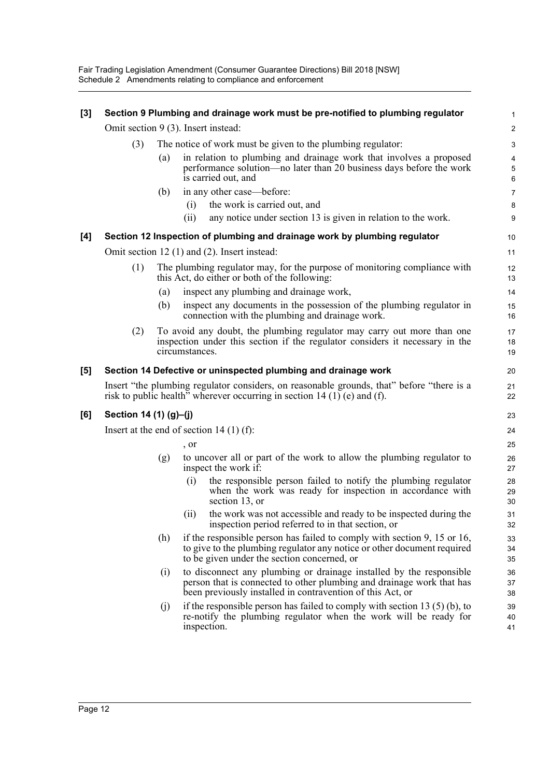Fair Trading Legislation Amendment (Consumer Guarantee Directions) Bill 2018 [NSW] Schedule 2 Amendments relating to compliance and enforcement

| $[3]$ |                        |     | Section 9 Plumbing and drainage work must be pre-notified to plumbing regulator                                                                                                                            | 1                                              |
|-------|------------------------|-----|------------------------------------------------------------------------------------------------------------------------------------------------------------------------------------------------------------|------------------------------------------------|
|       |                        |     | Omit section 9 (3). Insert instead:                                                                                                                                                                        | $\overline{2}$                                 |
|       | (3)                    |     | The notice of work must be given to the plumbing regulator:                                                                                                                                                | 3                                              |
|       |                        | (a) | in relation to plumbing and drainage work that involves a proposed<br>performance solution—no later than 20 business days before the work<br>is carried out, and                                           | $\overline{\mathbf{4}}$<br>$\sqrt{5}$<br>$\,6$ |
|       |                        | (b) | in any other case—before:                                                                                                                                                                                  | $\overline{7}$                                 |
|       |                        |     | the work is carried out, and<br>(i)                                                                                                                                                                        | 8                                              |
|       |                        |     | any notice under section 13 is given in relation to the work.<br>(ii)                                                                                                                                      | 9                                              |
| [4]   |                        |     | Section 12 Inspection of plumbing and drainage work by plumbing regulator                                                                                                                                  | 10                                             |
|       |                        |     | Omit section 12 (1) and (2). Insert instead:                                                                                                                                                               | 11                                             |
|       | (1)                    |     | The plumbing regulator may, for the purpose of monitoring compliance with<br>this Act, do either or both of the following:                                                                                 | 12<br>13                                       |
|       |                        | (a) | inspect any plumbing and drainage work,                                                                                                                                                                    | 14                                             |
|       |                        | (b) | inspect any documents in the possession of the plumbing regulator in<br>connection with the plumbing and drainage work.                                                                                    | 15<br>16                                       |
|       | (2)                    |     | To avoid any doubt, the plumbing regulator may carry out more than one<br>inspection under this section if the regulator considers it necessary in the<br>circumstances.                                   | 17<br>18<br>19                                 |
| [5]   |                        |     | Section 14 Defective or uninspected plumbing and drainage work                                                                                                                                             | 20                                             |
|       |                        |     | Insert "the plumbing regulator considers, on reasonable grounds, that" before "there is a<br>risk to public health <sup>3</sup> wherever occurring in section 14 (1) (e) and (f).                          | 21<br>22                                       |
| [6]   | Section 14 (1) (g)-(j) |     |                                                                                                                                                                                                            | 23                                             |
|       |                        |     | Insert at the end of section 14 $(1)$ (f):                                                                                                                                                                 | 24                                             |
|       |                        |     | , or                                                                                                                                                                                                       | 25                                             |
|       |                        | (g) | to uncover all or part of the work to allow the plumbing regulator to<br>inspect the work if:                                                                                                              | 26<br>27                                       |
|       |                        |     | the responsible person failed to notify the plumbing regulator<br>(i)<br>when the work was ready for inspection in accordance with<br>section 13, or                                                       | 28<br>29<br>30                                 |
|       |                        |     | the work was not accessible and ready to be inspected during the<br>(11)<br>inspection period referred to in that section, or                                                                              | 31<br>32                                       |
|       |                        | (h) | if the responsible person has failed to comply with section 9, 15 or 16,<br>to give to the plumbing regulator any notice or other document required<br>to be given under the section concerned, or         | 33<br>34<br>35                                 |
|       |                        | (i) | to disconnect any plumbing or drainage installed by the responsible<br>person that is connected to other plumbing and drainage work that has<br>been previously installed in contravention of this Act, or | 36<br>37<br>38                                 |
|       |                        | (j) | if the responsible person has failed to comply with section 13 $(5)$ (b), to<br>re-notify the plumbing regulator when the work will be ready for<br>inspection.                                            | 39<br>40<br>41                                 |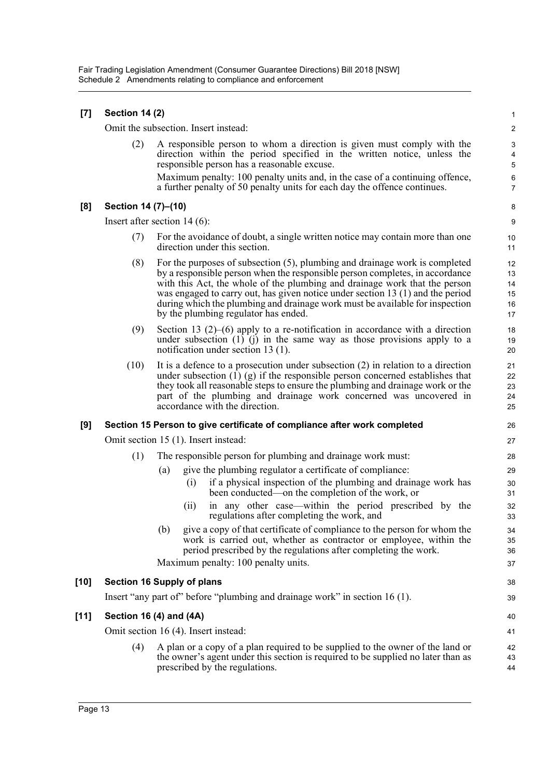| $[7]$  | <b>Section 14 (2)</b> |                                                                                                                                                                                                                                                                                                                                                                                                                                                     |                                  |  |  |  |
|--------|-----------------------|-----------------------------------------------------------------------------------------------------------------------------------------------------------------------------------------------------------------------------------------------------------------------------------------------------------------------------------------------------------------------------------------------------------------------------------------------------|----------------------------------|--|--|--|
|        |                       | Omit the subsection. Insert instead:                                                                                                                                                                                                                                                                                                                                                                                                                | $\sqrt{2}$                       |  |  |  |
|        | (2)                   | A responsible person to whom a direction is given must comply with the<br>direction within the period specified in the written notice, unless the<br>responsible person has a reasonable excuse.                                                                                                                                                                                                                                                    | 3<br>4<br>$\sqrt{5}$             |  |  |  |
|        |                       | Maximum penalty: 100 penalty units and, in the case of a continuing offence,<br>a further penalty of 50 penalty units for each day the offence continues.                                                                                                                                                                                                                                                                                           | 6<br>$\overline{7}$              |  |  |  |
| [8]    | Section 14 (7)–(10)   |                                                                                                                                                                                                                                                                                                                                                                                                                                                     | 8                                |  |  |  |
|        |                       | Insert after section $14(6)$ :                                                                                                                                                                                                                                                                                                                                                                                                                      | 9                                |  |  |  |
|        | (7)                   | For the avoidance of doubt, a single written notice may contain more than one<br>direction under this section.                                                                                                                                                                                                                                                                                                                                      | 10<br>11                         |  |  |  |
|        | (8)                   | For the purposes of subsection (5), plumbing and drainage work is completed<br>by a responsible person when the responsible person completes, in accordance<br>with this Act, the whole of the plumbing and drainage work that the person<br>was engaged to carry out, has given notice under section 13 (1) and the period<br>during which the plumbing and drainage work must be available for inspection<br>by the plumbing regulator has ended. | 12<br>13<br>14<br>15<br>16<br>17 |  |  |  |
|        | (9)                   | Section 13 $(2)$ – $(6)$ apply to a re-notification in accordance with a direction<br>under subsection $(1)$ $(i)$ in the same way as those provisions apply to a<br>notification under section $13(1)$ .                                                                                                                                                                                                                                           | 18<br>19<br>20                   |  |  |  |
|        | (10)                  | It is a defence to a prosecution under subsection $(2)$ in relation to a direction<br>under subsection $(1)$ $(g)$ if the responsible person concerned establishes that<br>they took all reasonable steps to ensure the plumbing and drainage work or the<br>part of the plumbing and drainage work concerned was uncovered in<br>accordance with the direction.                                                                                    | 21<br>22<br>23<br>24<br>25       |  |  |  |
| [9]    |                       | Section 15 Person to give certificate of compliance after work completed                                                                                                                                                                                                                                                                                                                                                                            | 26                               |  |  |  |
|        |                       | Omit section 15 (1). Insert instead:                                                                                                                                                                                                                                                                                                                                                                                                                | 27                               |  |  |  |
|        | (1)                   | The responsible person for plumbing and drainage work must:                                                                                                                                                                                                                                                                                                                                                                                         | 28                               |  |  |  |
|        |                       | give the plumbing regulator a certificate of compliance:<br>(a)<br>if a physical inspection of the plumbing and drainage work has<br>(i)<br>been conducted—on the completion of the work, or                                                                                                                                                                                                                                                        | 29<br>30<br>31                   |  |  |  |
|        |                       | in any other case—within the period prescribed by the<br>(11)<br>regulations after completing the work, and                                                                                                                                                                                                                                                                                                                                         | 32<br>33                         |  |  |  |
|        |                       | give a copy of that certificate of compliance to the person for whom the<br>(b)<br>work is carried out, whether as contractor or employee, within the<br>period prescribed by the regulations after completing the work.                                                                                                                                                                                                                            | 34<br>35<br>36                   |  |  |  |
|        |                       | Maximum penalty: 100 penalty units.                                                                                                                                                                                                                                                                                                                                                                                                                 | 37                               |  |  |  |
| [10]   |                       | <b>Section 16 Supply of plans</b>                                                                                                                                                                                                                                                                                                                                                                                                                   | 38                               |  |  |  |
|        |                       | Insert "any part of" before "plumbing and drainage work" in section 16 (1).                                                                                                                                                                                                                                                                                                                                                                         | 39                               |  |  |  |
| $[11]$ |                       | Section 16 (4) and (4A)                                                                                                                                                                                                                                                                                                                                                                                                                             | 40                               |  |  |  |
|        |                       | Omit section 16 (4). Insert instead:                                                                                                                                                                                                                                                                                                                                                                                                                | 41                               |  |  |  |
|        | (4)                   | A plan or a copy of a plan required to be supplied to the owner of the land or<br>the owner's agent under this section is required to be supplied no later than as<br>prescribed by the regulations.                                                                                                                                                                                                                                                | 42<br>43<br>44                   |  |  |  |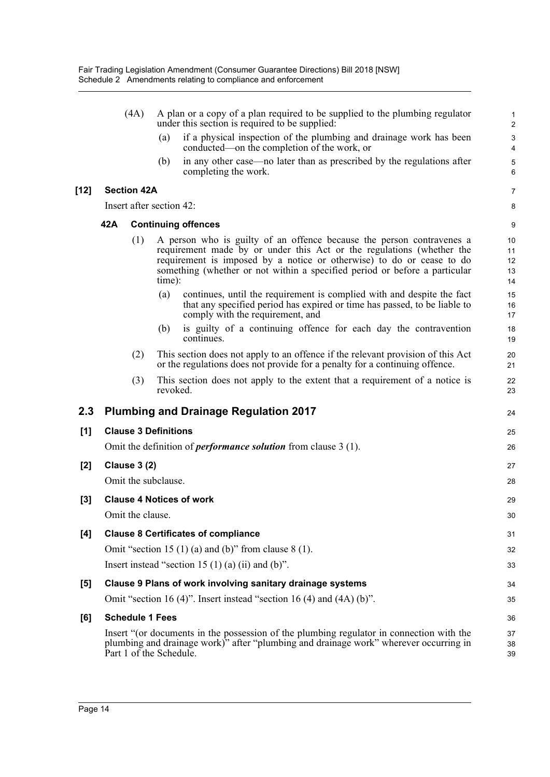|        | (4A)                                                                    |                          | A plan or a copy of a plan required to be supplied to the plumbing regulator<br>under this section is required to be supplied:                                                                                                                                                                                  | $\mathbf{1}$<br>$\sqrt{2}$                           |
|--------|-------------------------------------------------------------------------|--------------------------|-----------------------------------------------------------------------------------------------------------------------------------------------------------------------------------------------------------------------------------------------------------------------------------------------------------------|------------------------------------------------------|
|        |                                                                         | (a)                      | if a physical inspection of the plumbing and drainage work has been<br>conducted—on the completion of the work, or                                                                                                                                                                                              | $\ensuremath{\mathsf{3}}$<br>$\overline{\mathbf{4}}$ |
|        |                                                                         | (b)                      | in any other case—no later than as prescribed by the regulations after<br>completing the work.                                                                                                                                                                                                                  | $\mathbf 5$<br>6                                     |
| $[12]$ | <b>Section 42A</b>                                                      |                          |                                                                                                                                                                                                                                                                                                                 | 7                                                    |
|        |                                                                         | Insert after section 42: |                                                                                                                                                                                                                                                                                                                 | 8                                                    |
|        | 42A<br><b>Continuing offences</b>                                       |                          |                                                                                                                                                                                                                                                                                                                 |                                                      |
|        |                                                                         | (1)                      | A person who is guilty of an offence because the person contravenes a<br>requirement made by or under this Act or the regulations (whether the<br>requirement is imposed by a notice or otherwise) to do or cease to do<br>something (whether or not within a specified period or before a particular<br>time): | 10<br>11<br>12<br>13<br>14                           |
|        |                                                                         | (a)                      | continues, until the requirement is complied with and despite the fact<br>that any specified period has expired or time has passed, to be liable to<br>comply with the requirement, and                                                                                                                         | 15<br>16<br>17                                       |
|        |                                                                         | (b)                      | is guilty of a continuing offence for each day the contravention<br>continues.                                                                                                                                                                                                                                  | 18<br>19                                             |
|        |                                                                         | (2)                      | This section does not apply to an offence if the relevant provision of this Act<br>or the regulations does not provide for a penalty for a continuing offence.                                                                                                                                                  | 20<br>21                                             |
|        |                                                                         | (3)                      | This section does not apply to the extent that a requirement of a notice is<br>revoked.                                                                                                                                                                                                                         | 22<br>23                                             |
| 2.3    |                                                                         |                          | <b>Plumbing and Drainage Regulation 2017</b>                                                                                                                                                                                                                                                                    | 24                                                   |
| [1]    | <b>Clause 3 Definitions</b>                                             |                          |                                                                                                                                                                                                                                                                                                                 |                                                      |
|        | Omit the definition of <i>performance solution</i> from clause $3(1)$ . |                          |                                                                                                                                                                                                                                                                                                                 |                                                      |
| $[2]$  | <b>Clause 3 (2)</b>                                                     |                          |                                                                                                                                                                                                                                                                                                                 |                                                      |
|        |                                                                         | Omit the subclause.      |                                                                                                                                                                                                                                                                                                                 | 28                                                   |
| $[3]$  | <b>Clause 4 Notices of work</b>                                         |                          |                                                                                                                                                                                                                                                                                                                 |                                                      |
|        |                                                                         | Omit the clause.         |                                                                                                                                                                                                                                                                                                                 | 30                                                   |
| $[4]$  |                                                                         |                          | <b>Clause 8 Certificates of compliance</b>                                                                                                                                                                                                                                                                      | 31                                                   |
|        |                                                                         |                          | Omit "section 15 (1) (a) and (b)" from clause $8(1)$ .                                                                                                                                                                                                                                                          | 32                                                   |
|        | Insert instead "section 15 $(1)$ (a) (ii) and (b)".                     |                          |                                                                                                                                                                                                                                                                                                                 |                                                      |
| $[5]$  |                                                                         |                          | Clause 9 Plans of work involving sanitary drainage systems                                                                                                                                                                                                                                                      | 34                                                   |
|        |                                                                         |                          | Omit "section 16 (4)". Insert instead "section 16 (4) and $(4A)$ (b)".                                                                                                                                                                                                                                          | 35                                                   |
| [6]    |                                                                         | <b>Schedule 1 Fees</b>   |                                                                                                                                                                                                                                                                                                                 | 36                                                   |
|        |                                                                         |                          | Insert "(or documents in the possession of the plumbing regulator in connection with the                                                                                                                                                                                                                        | 37                                                   |